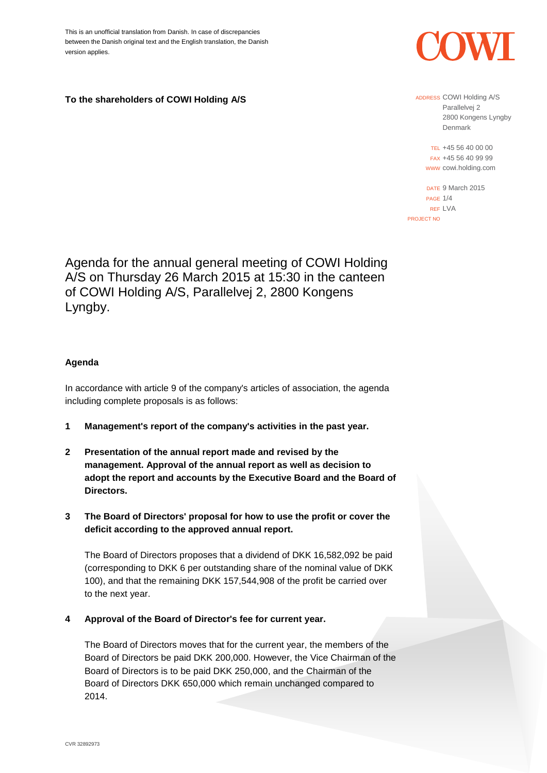This is an unofficial translation from Danish. In case of discrepancies between the Danish original text and the English translation, the Danish version applies.

**To the shareholders of COWI Holding A/S**



ADDRESS COWI Holding A/S Parallelvej 2 2800 Kongens Lyngby Denmark

TEL +45 56 40 00 00 FAX +45 56 40 99 99 WWW cowi.holding.com

DATE 9 March 2015 PAGE 1/4 REF LVA PROJECT NO

Agenda for the annual general meeting of COWI Holding A/S on Thursday 26 March 2015 at 15:30 in the canteen of COWI Holding A/S, Parallelvej 2, 2800 Kongens Lyngby.

# **Agenda**

In accordance with article 9 of the company's articles of association, the agenda including complete proposals is as follows:

- **1 Management's report of the company's activities in the past year.**
- **2 Presentation of the annual report made and revised by the management. Approval of the annual report as well as decision to adopt the report and accounts by the Executive Board and the Board of Directors.**
- **3 The Board of Directors' proposal for how to use the profit or cover the deficit according to the approved annual report.**

The Board of Directors proposes that a dividend of DKK 16,582,092 be paid (corresponding to DKK 6 per outstanding share of the nominal value of DKK 100), and that the remaining DKK 157,544,908 of the profit be carried over to the next year.

**4 Approval of the Board of Director's fee for current year.** 

The Board of Directors moves that for the current year, the members of the Board of Directors be paid DKK 200,000. However, the Vice Chairman of the Board of Directors is to be paid DKK 250,000, and the Chairman of the Board of Directors DKK 650,000 which remain unchanged compared to 2014.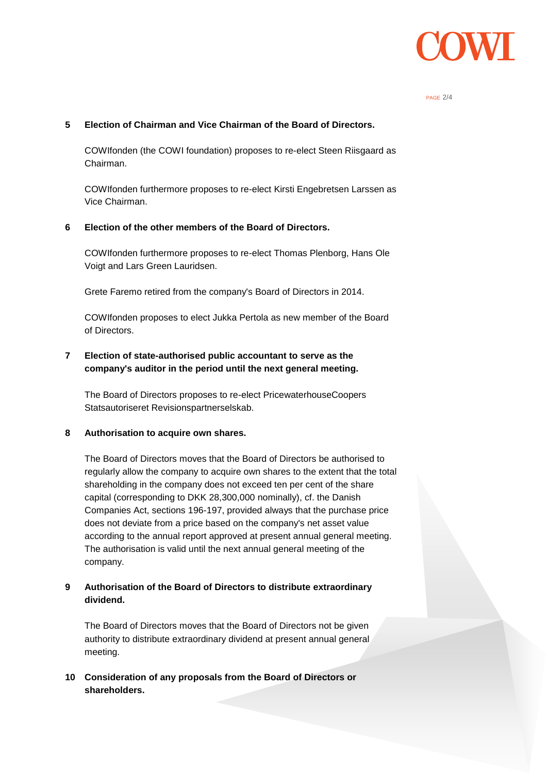

#### PAGE 2/4

### **5 Election of Chairman and Vice Chairman of the Board of Directors.**

COWIfonden (the COWI foundation) proposes to re-elect Steen Riisgaard as Chairman.

COWIfonden furthermore proposes to re-elect Kirsti Engebretsen Larssen as Vice Chairman.

### **6 Election of the other members of the Board of Directors.**

COWIfonden furthermore proposes to re-elect Thomas Plenborg, Hans Ole Voigt and Lars Green Lauridsen.

Grete Faremo retired from the company's Board of Directors in 2014.

COWIfonden proposes to elect Jukka Pertola as new member of the Board of Directors.

# **7 Election of state-authorised public accountant to serve as the company's auditor in the period until the next general meeting.**

The Board of Directors proposes to re-elect PricewaterhouseCoopers Statsautoriseret Revisionspartnerselskab.

### **8 Authorisation to acquire own shares.**

The Board of Directors moves that the Board of Directors be authorised to regularly allow the company to acquire own shares to the extent that the total shareholding in the company does not exceed ten per cent of the share capital (corresponding to DKK 28,300,000 nominally), cf. the Danish Companies Act, sections 196-197, provided always that the purchase price does not deviate from a price based on the company's net asset value according to the annual report approved at present annual general meeting. The authorisation is valid until the next annual general meeting of the company.

## **9 Authorisation of the Board of Directors to distribute extraordinary dividend.**

The Board of Directors moves that the Board of Directors not be given authority to distribute extraordinary dividend at present annual general meeting.

## **10 Consideration of any proposals from the Board of Directors or shareholders.**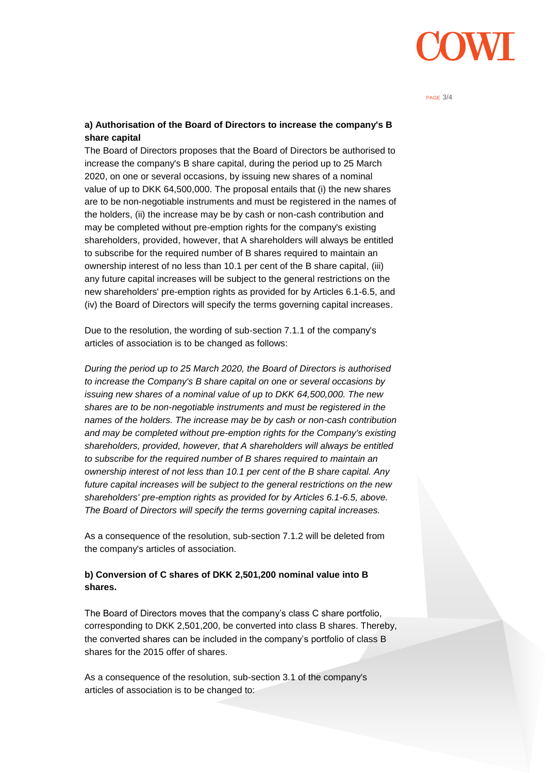

#### PAGE 3/4

## **a) Authorisation of the Board of Directors to increase the company's B share capital**

The Board of Directors proposes that the Board of Directors be authorised to increase the company's B share capital, during the period up to 25 March 2020, on one or several occasions, by issuing new shares of a nominal value of up to DKK 64,500,000. The proposal entails that (i) the new shares are to be non-negotiable instruments and must be registered in the names of the holders, (ii) the increase may be by cash or non-cash contribution and may be completed without pre-emption rights for the company's existing shareholders, provided, however, that A shareholders will always be entitled to subscribe for the required number of B shares required to maintain an ownership interest of no less than 10.1 per cent of the B share capital, (iii) any future capital increases will be subject to the general restrictions on the new shareholders' pre-emption rights as provided for by Articles 6.1-6.5, and (iv) the Board of Directors will specify the terms governing capital increases.

Due to the resolution, the wording of sub-section 7.1.1 of the company's articles of association is to be changed as follows:

*During the period up to 25 March 2020, the Board of Directors is authorised to increase the Company's B share capital on one or several occasions by issuing new shares of a nominal value of up to DKK 64,500,000. The new shares are to be non-negotiable instruments and must be registered in the names of the holders. The increase may be by cash or non-cash contribution and may be completed without pre-emption rights for the Company's existing shareholders, provided, however, that A shareholders will always be entitled to subscribe for the required number of B shares required to maintain an ownership interest of not less than 10.1 per cent of the B share capital. Any future capital increases will be subject to the general restrictions on the new shareholders' pre-emption rights as provided for by Articles 6.1-6.5, above. The Board of Directors will specify the terms governing capital increases.*

As a consequence of the resolution, sub-section 7.1.2 will be deleted from the company's articles of association.

# **b) Conversion of C shares of DKK 2,501,200 nominal value into B shares.**

The Board of Directors moves that the company's class C share portfolio, corresponding to DKK 2,501,200, be converted into class B shares. Thereby, the converted shares can be included in the company's portfolio of class B shares for the 2015 offer of shares.

As a consequence of the resolution, sub-section 3.1 of the company's articles of association is to be changed to: